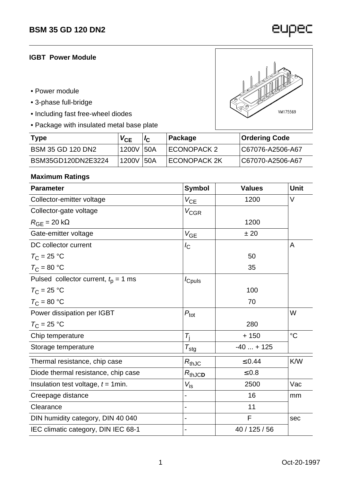## **IGBT Power Module**

- Power module
- 3-phase full-bridge
- Including fast free-wheel diodes
- Package with insulated metal base plate

| <b>Type</b>              | $V_{CE}$   | Package      | Ordering Code     |
|--------------------------|------------|--------------|-------------------|
| <b>BSM 35 GD 120 DN2</b> | 1200V 50A  | ECONOPACK 2  | IC67076-A2506-A67 |
| BSM35GD120DN2E3224       | 1200V  50A | ECONOPACK 2K | IC67070-A2506-A67 |

#### **Maximum Ratings**

| <b>Parameter</b>                         | <b>Symbol</b>            | <b>Values</b> | <b>Unit</b> |
|------------------------------------------|--------------------------|---------------|-------------|
| Collector-emitter voltage                | $V_{CE}$                 | 1200          | $\vee$      |
| Collector-gate voltage                   | <b>V<sub>CGR</sub></b>   |               |             |
| $R_{GE}$ = 20 k $\Omega$                 |                          | 1200          |             |
| Gate-emitter voltage                     | $V_{GE}$                 | ± 20          |             |
| DC collector current                     | $\sqrt{C}$               |               | A           |
| $T_{\rm C}$ = 25 °C                      |                          | 50            |             |
| $T_{\rm C}$ = 80 °C                      |                          | 35            |             |
| Pulsed collector current, $t_{p} = 1$ ms | <i>c</i> <sub>puls</sub> |               |             |
| $T_{\rm C}$ = 25 °C                      |                          | 100           |             |
| $T_{\rm C}$ = 80 °C                      |                          | 70            |             |
| Power dissipation per IGBT               | $P_{\text{tot}}$         |               | W           |
| $T_{\rm C}$ = 25 °C                      |                          | 280           |             |
| Chip temperature                         | $T_{i}$                  | $+150$        | $^{\circ}C$ |
| Storage temperature                      | $T_{\text{stg}}$         | $-40 + 125$   |             |
| Thermal resistance, chip case            | $R_{thJC}$               | $\leq 0.44$   | <b>K/W</b>  |
| Diode thermal resistance, chip case      | $R_{thJCD}$              | $\leq 0.8$    |             |
| Insulation test voltage, $t = 1$ min.    | $V_{\text{is}}$          | 2500          | Vac         |
| Creepage distance                        |                          | 16            | mm          |
| Clearance                                |                          | 11            |             |
| DIN humidity category, DIN 40 040        |                          | F             | sec         |
| IEC climatic category, DIN IEC 68-1      |                          | 40 / 125 / 56 |             |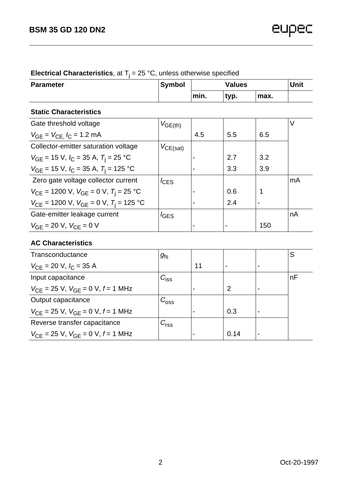| <b>Parameter</b>                                                | <b>Symbol</b>    |                | <b>Unit</b> |      |    |
|-----------------------------------------------------------------|------------------|----------------|-------------|------|----|
|                                                                 |                  | min.           | typ.        | max. |    |
| <b>Static Characteristics</b>                                   |                  |                |             |      |    |
| Gate threshold voltage                                          | $V_{GE(th)}$     |                |             |      | V  |
| $V_{GE} = V_{CE}$ , $I_C = 1.2$ mA                              |                  | 4.5            | 5.5         | 6.5  |    |
| Collector-emitter saturation voltage                            | $V_{CE(sat)}$    |                |             |      |    |
| $V_{GE}$ = 15 V, $I_C$ = 35 A, $T_i$ = 25 °C                    |                  | $\blacksquare$ | 2.7         | 3.2  |    |
| $V_{GE}$ = 15 V, $I_C$ = 35 A, $T_i$ = 125 °C                   |                  | $\blacksquare$ | 3.3         | 3.9  |    |
| Zero gate voltage collector current                             | $I_{\text{CES}}$ |                |             |      | mA |
| $V_{\text{CE}}$ = 1200 V, $V_{\text{GE}}$ = 0 V, $T_i$ = 25 °C  |                  | $\blacksquare$ | 0.6         | 1    |    |
| $V_{\text{CE}}$ = 1200 V, $V_{\text{GE}}$ = 0 V, $T_i$ = 125 °C |                  | $\blacksquare$ | 2.4         | ۰    |    |
| Gate-emitter leakage current                                    | $I_{\text{GES}}$ |                |             |      | nA |
| $V_{GF}$ = 20 V, $V_{CF}$ = 0 V                                 |                  | -              |             | 150  |    |

# **Electrical Characteristics**, at T<sub>j</sub> = 25 °C, unless otherwise specified

## **AC Characteristics**

| Transconductance                                           | $g_{\rm fs}$       |    |                |                          | S  |
|------------------------------------------------------------|--------------------|----|----------------|--------------------------|----|
| $V_{\text{CF}}$ = 20 V, $I_{\text{C}}$ = 35 A              |                    | 11 |                | ۰                        |    |
| Input capacitance                                          | $C_{\mathsf{iss}}$ |    |                |                          | nF |
| $V_{\text{CF}}$ = 25 V, $V_{\text{GF}}$ = 0 V, f = 1 MHz   |                    |    | $\overline{2}$ | $\overline{\phantom{0}}$ |    |
| Output capacitance                                         | $C_{\rm{oss}}$     |    |                |                          |    |
| $V_{\text{CE}}$ = 25 V, $V_{\text{GE}}$ = 0 V, $f$ = 1 MHz |                    |    | 0.3            |                          |    |
| Reverse transfer capacitance                               | $C_{\rm rss}$      |    |                |                          |    |
| $V_{\text{CF}}$ = 25 V, $V_{\text{GF}}$ = 0 V, f = 1 MHz   |                    |    | 0.14           |                          |    |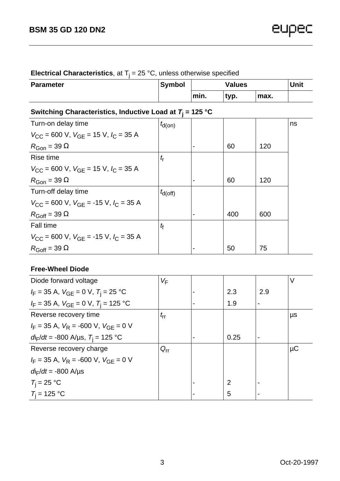| <b>Electrical Originate Rotorio,</b> at $\eta = 20$ O, anioao otherwise appointed |        |               |      |      |      |
|-----------------------------------------------------------------------------------|--------|---------------|------|------|------|
| <b>Parameter</b>                                                                  | Symbol | <b>Values</b> |      |      | Unit |
|                                                                                   |        | min.          | typ. | max. |      |

## **Electrical Characteristics**, at T<sub>j</sub> = 25 °C, unless otherwise specified

# **Switching Characteristics, Inductive Load at T<sup>j</sup> = 125 °C**

| ,                   |                          |     |     |    |
|---------------------|--------------------------|-----|-----|----|
| $t_{\text{d}(on)}$  |                          |     |     | ns |
|                     |                          |     |     |    |
|                     | $\blacksquare$           | 60  | 120 |    |
| $t_{\rm r}$         |                          |     |     |    |
|                     |                          |     |     |    |
|                     | $\overline{\phantom{0}}$ | 60  | 120 |    |
| $t_{\text{d(off)}}$ |                          |     |     |    |
|                     |                          |     |     |    |
|                     |                          | 400 | 600 |    |
| $t_{\rm f}$         |                          |     |     |    |
|                     |                          |     |     |    |
|                     |                          | 50  | 75  |    |
|                     |                          |     |     |    |

#### **Free-Wheel Diode**

| Diode forward voltage                                                         | VF           |                |     | V       |
|-------------------------------------------------------------------------------|--------------|----------------|-----|---------|
| $I_F = 35$ A, $V_{GE} = 0$ V, $T_i = 25$ °C                                   |              | 2.3            | 2.9 |         |
| $I_F = 35$ A, $V_{GE} = 0$ V, $T_i = 125$ °C                                  |              | 1.9            |     |         |
| Reverse recovery time                                                         | $t_{\rm rr}$ |                |     | μs      |
| $I_F = 35$ A, $V_R = -600$ V, $V_{GF} = 0$ V                                  |              |                |     |         |
| $d_{\text{F}}/dt = -800 \text{ A/}\mu\text{s}, T_{\text{i}} = 125 \text{ °C}$ |              | 0.25           |     |         |
| Reverse recovery charge                                                       | $Q_{rr}$     |                |     | $\mu$ C |
| $I_F = 35$ A, $V_R = -600$ V, $V_{GF} = 0$ V                                  |              |                |     |         |
| $d\mathbf{r}/dt = -800 \text{ A/}\mu\text{s}$                                 |              |                |     |         |
| $T_i = 25 °C$                                                                 |              | $\overline{2}$ |     |         |
| $T_i = 125 °C$                                                                |              | 5              |     |         |